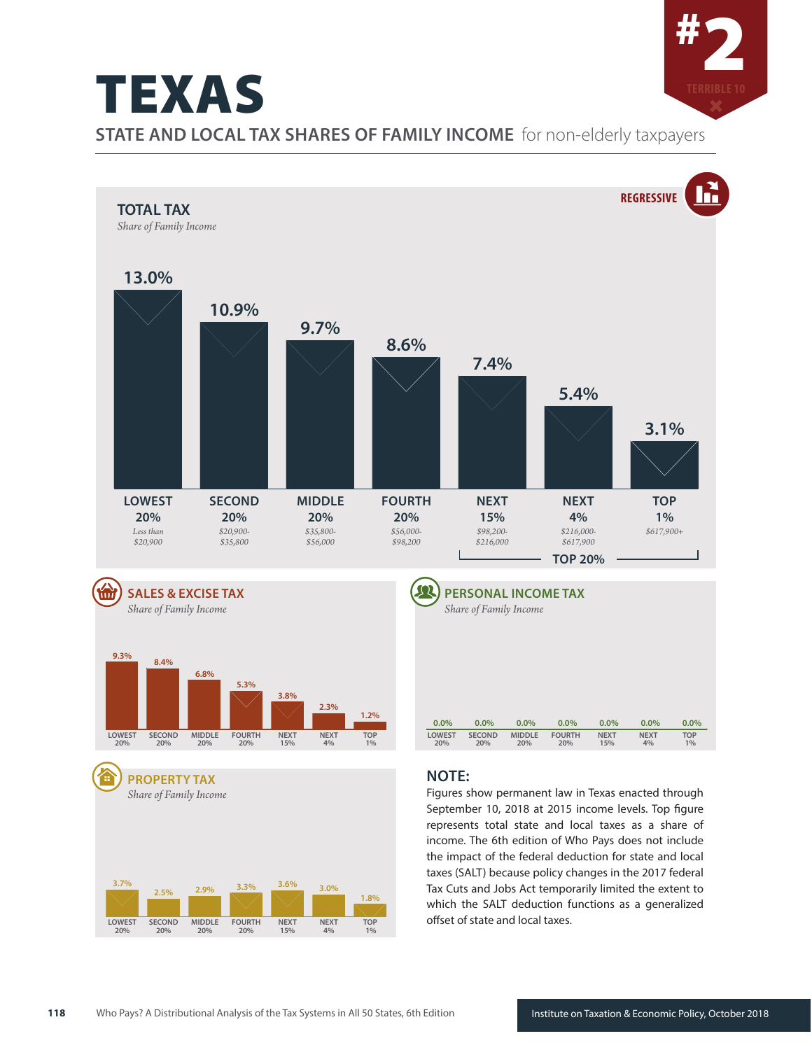#2 TEXAS **STATE AND LOCAL TAX SHARES OF FAMILY INCOME** for non-elderly taxpayers





income. The 6th edition of Who Pays does not include the impact of the federal deduction for state and local taxes (SALT) because policy changes in the 2017 federal Tax Cuts and Jobs Act temporarily limited the extent to which the SALT deduction functions as a generalized offset of state and local taxes.